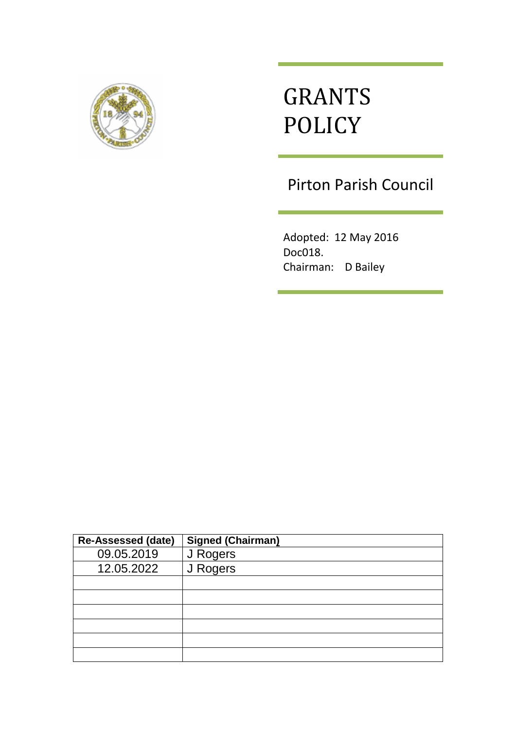

# GRANTS POLICY

### Pirton Parish Council

Adopted: 12 May 2016 Doc018. Chairman: D Bailey

| <b>Re-Assessed (date)</b> | <b>Signed (Chairman)</b> |
|---------------------------|--------------------------|
| 09.05.2019                | J Rogers                 |
| 12.05.2022                | J Rogers                 |
|                           |                          |
|                           |                          |
|                           |                          |
|                           |                          |
|                           |                          |
|                           |                          |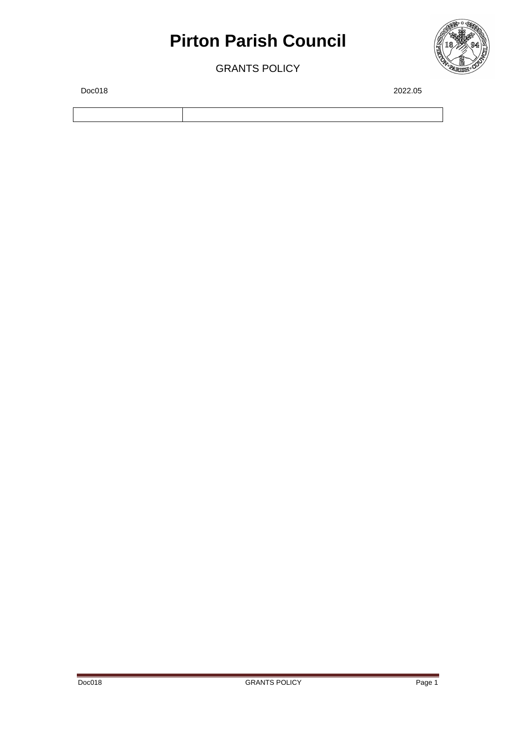GRANTS POLICY



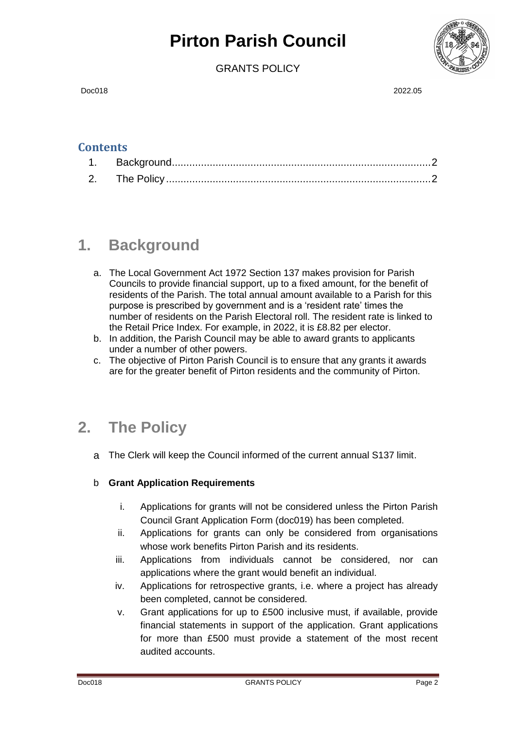GRANTS POLICY





#### **Contents**

### <span id="page-2-0"></span>**1. Background**

- a. The Local Government Act 1972 Section 137 makes provision for Parish Councils to provide financial support, up to a fixed amount, for the benefit of residents of the Parish. The total annual amount available to a Parish for this purpose is prescribed by government and is a 'resident rate' times the number of residents on the Parish Electoral roll. The resident rate is linked to the Retail Price Index. For example, in 2022, it is £8.82 per elector.
- b. In addition, the Parish Council may be able to award grants to applicants under a number of other powers.
- c. The objective of Pirton Parish Council is to ensure that any grants it awards are for the greater benefit of Pirton residents and the community of Pirton.

### <span id="page-2-1"></span>**2. The Policy**

a The Clerk will keep the Council informed of the current annual S137 limit.

#### b **Grant Application Requirements**

- i. Applications for grants will not be considered unless the Pirton Parish Council Grant Application Form (doc019) has been completed.
- ii. Applications for grants can only be considered from organisations whose work benefits Pirton Parish and its residents.
- iii. Applications from individuals cannot be considered, nor can applications where the grant would benefit an individual.
- iv. Applications for retrospective grants, i.e. where a project has already been completed, cannot be considered.
- v. Grant applications for up to £500 inclusive must, if available, provide financial statements in support of the application. Grant applications for more than £500 must provide a statement of the most recent audited accounts.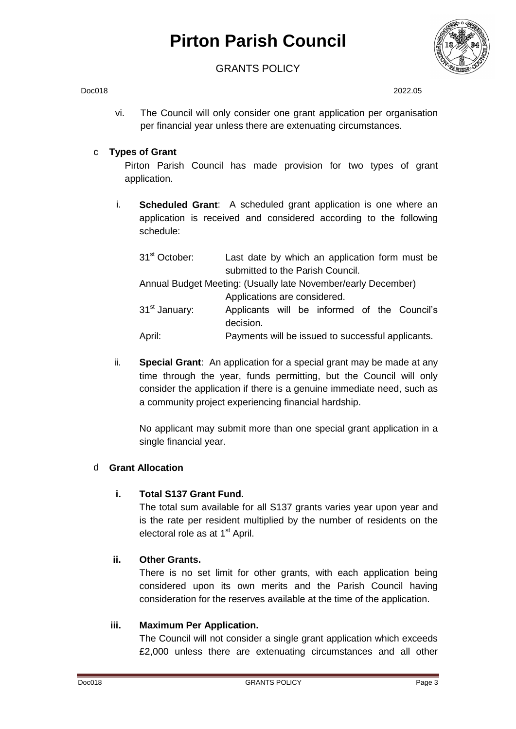#### GRANTS POLICY



Doc018 2022.05

vi. The Council will only consider one grant application per organisation per financial year unless there are extenuating circumstances.

#### c **Types of Grant**

Pirton Parish Council has made provision for two types of grant application.

i. **Scheduled Grant**: A scheduled grant application is one where an application is received and considered according to the following schedule:

| 31 <sup>st</sup> October: | Last date by which an application form must be                |
|---------------------------|---------------------------------------------------------------|
|                           | submitted to the Parish Council.                              |
|                           | Annual Budget Meeting: (Usually late November/early December) |
|                           | Applications are considered.                                  |
| 31 <sup>st</sup> January: | Applicants will be informed of the Council's                  |
|                           | decision.                                                     |
| April:                    | Payments will be issued to successful applicants.             |

ii. **Special Grant**: An application for a special grant may be made at any time through the year, funds permitting, but the Council will only consider the application if there is a genuine immediate need, such as a community project experiencing financial hardship.

No applicant may submit more than one special grant application in a single financial year.

#### d **Grant Allocation**

#### **i. Total S137 Grant Fund.**

The total sum available for all S137 grants varies year upon year and is the rate per resident multiplied by the number of residents on the electoral role as at 1<sup>st</sup> April.

#### **ii. Other Grants.**

There is no set limit for other grants, with each application being considered upon its own merits and the Parish Council having consideration for the reserves available at the time of the application.

#### **iii. Maximum Per Application.**

The Council will not consider a single grant application which exceeds £2,000 unless there are extenuating circumstances and all other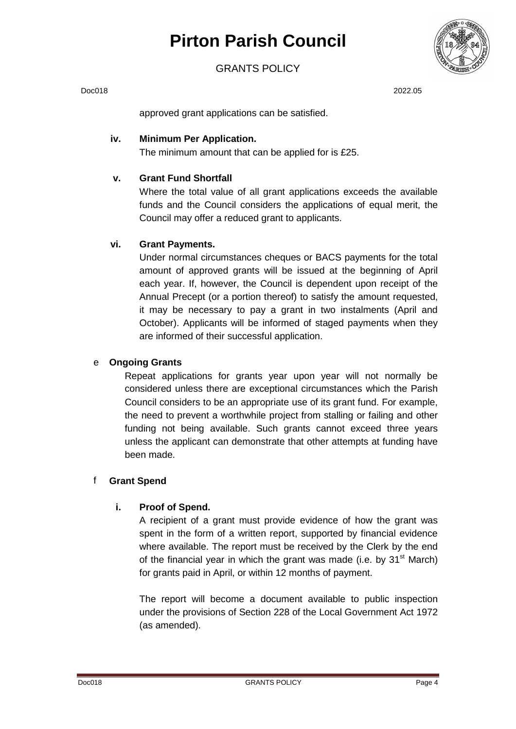#### GRANTS POLICY



Doc018 2022.05

approved grant applications can be satisfied.

#### **iv. Minimum Per Application.**

The minimum amount that can be applied for is £25.

#### **v. Grant Fund Shortfall**

Where the total value of all grant applications exceeds the available funds and the Council considers the applications of equal merit, the Council may offer a reduced grant to applicants.

#### **vi. Grant Payments.**

Under normal circumstances cheques or BACS payments for the total amount of approved grants will be issued at the beginning of April each year. If, however, the Council is dependent upon receipt of the Annual Precept (or a portion thereof) to satisfy the amount requested, it may be necessary to pay a grant in two instalments (April and October). Applicants will be informed of staged payments when they are informed of their successful application.

#### e **Ongoing Grants**

Repeat applications for grants year upon year will not normally be considered unless there are exceptional circumstances which the Parish Council considers to be an appropriate use of its grant fund. For example, the need to prevent a worthwhile project from stalling or failing and other funding not being available. Such grants cannot exceed three years unless the applicant can demonstrate that other attempts at funding have been made.

#### f **Grant Spend**

#### **i. Proof of Spend.**

A recipient of a grant must provide evidence of how the grant was spent in the form of a written report, supported by financial evidence where available. The report must be received by the Clerk by the end of the financial year in which the grant was made (i.e. by  $31<sup>st</sup>$  March) for grants paid in April, or within 12 months of payment.

The report will become a document available to public inspection under the provisions of Section 228 of the Local Government Act 1972 (as amended).